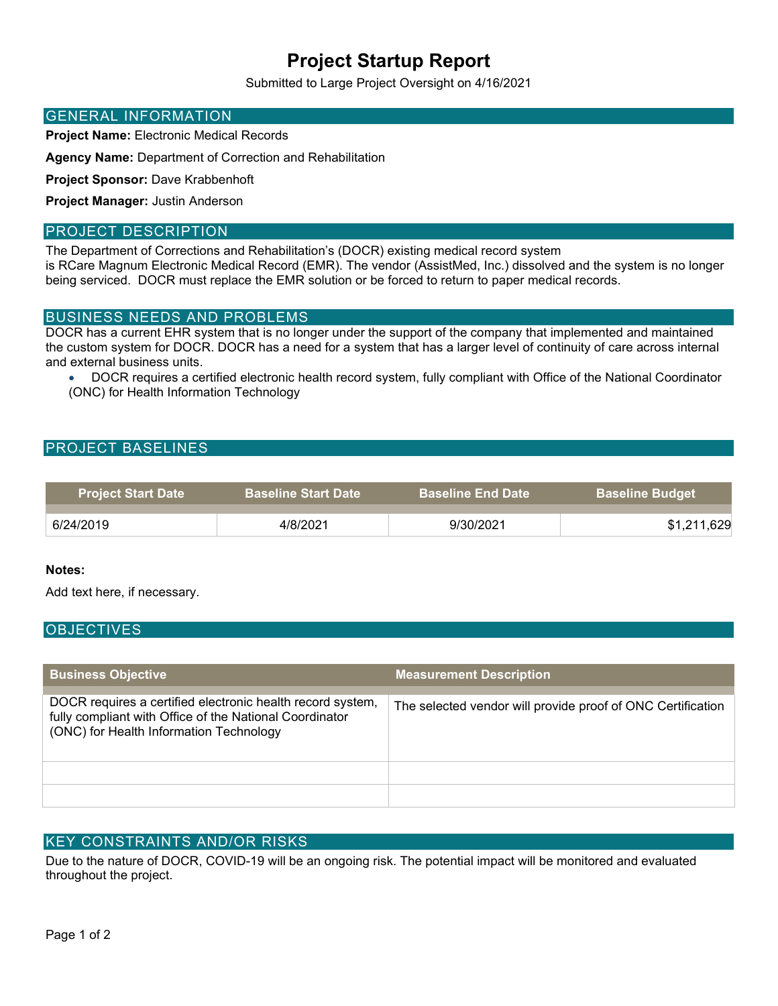## **Project Startup Report**

Submitted to Large Project Oversight on 4/16/2021

#### GENERAL INFORMATION

**Project Name:** Electronic Medical Records

**Agency Name:** Department of Correction and Rehabilitation

**Project Sponsor:** Dave Krabbenhoft

**Project Manager:** Justin Anderson

#### PROJECT DESCRIPTION

The Department of Corrections and Rehabilitation's (DOCR) existing medical record system is RCare Magnum Electronic Medical Record (EMR). The vendor (AssistMed, Inc.) dissolved and the system is no longer being serviced. DOCR must replace the EMR solution or be forced to return to paper medical records.

## BUSINESS NEEDS AND PROBLEMS

DOCR has a current EHR system that is no longer under the support of the company that implemented and maintained the custom system for DOCR. DOCR has a need for a system that has a larger level of continuity of care across internal and external business units.

• DOCR requires a certified electronic health record system, fully compliant with Office of the National Coordinator (ONC) for Health Information Technology

## PROJECT BASELINES

| <b>Project Start Date</b> | <b>Baseline Start Date</b> | <b>Baseline End Date</b> | <b>Baseline Budget</b> |
|---------------------------|----------------------------|--------------------------|------------------------|
| 6/24/2019                 | 4/8/2021                   | 9/30/2021                | \$1,211,629            |

#### **Notes:**

Add text here, if necessary.

## **OBJECTIVES**

| <b>Business Objective</b>                                                                                                                                        | <b>Measurement Description</b>                              |
|------------------------------------------------------------------------------------------------------------------------------------------------------------------|-------------------------------------------------------------|
| DOCR requires a certified electronic health record system,<br>fully compliant with Office of the National Coordinator<br>(ONC) for Health Information Technology | The selected vendor will provide proof of ONC Certification |
|                                                                                                                                                                  |                                                             |
|                                                                                                                                                                  |                                                             |

## KEY CONSTRAINTS AND/OR RISKS

Due to the nature of DOCR, COVID-19 will be an ongoing risk. The potential impact will be monitored and evaluated throughout the project.